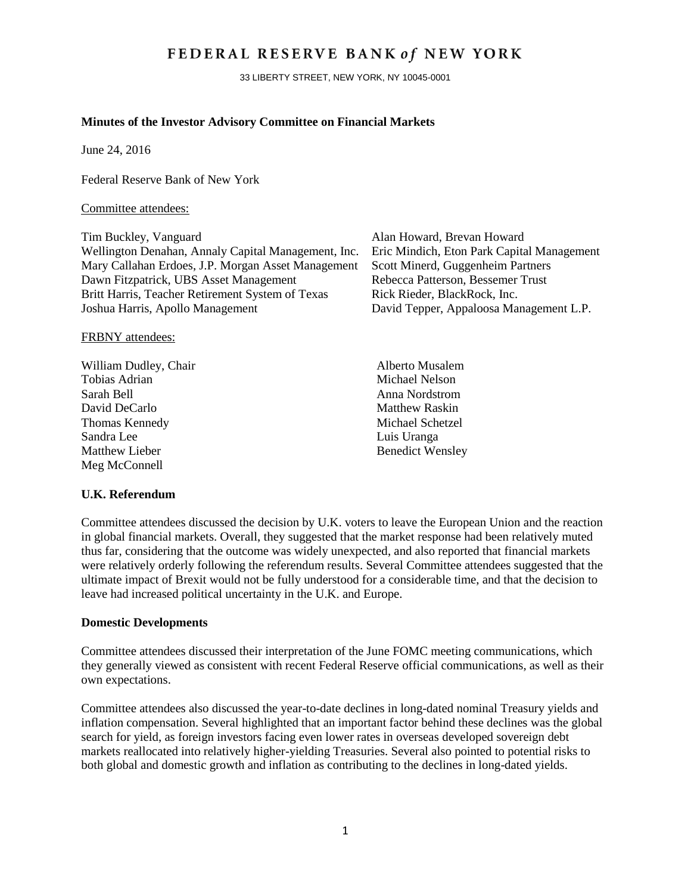# FEDERAL RESERVE BANK of NEW YORK

33 LIBERTY STREET, NEW YORK, NY 10045-0001

#### **Minutes of the Investor Advisory Committee on Financial Markets**

June 24, 2016

Federal Reserve Bank of New York

#### Committee attendees:

Tim Buckley, Vanguard Alan Howard, Brevan Howard Wellington Denahan, Annaly Capital Management, Inc. Eric Mindich, Eton Park Capital Management Mary Callahan Erdoes, J.P. Morgan Asset Management Scott Minerd, Guggenheim Partners Dawn Fitzpatrick, UBS Asset Management Britt Harris, Teacher Retirement System of Texas Rick Rieder, BlackRock, Inc. Joshua Harris, Apollo Management David Tepper, Appaloosa Management L.P.

FRBNY attendees:

William Dudley, Chair Alberto Musalem Tobias Adrian Michael Nelson Sarah Bell Anna Nordstrom David DeCarlo **Matthew Raskin** Thomas Kennedy Michael Schetzel Sandra Lee Luis Uranga Matthew Lieber Benedict Wensley Meg McConnell

#### **U.K. Referendum**

Committee attendees discussed the decision by U.K. voters to leave the European Union and the reaction in global financial markets. Overall, they suggested that the market response had been relatively muted thus far, considering that the outcome was widely unexpected, and also reported that financial markets were relatively orderly following the referendum results. Several Committee attendees suggested that the ultimate impact of Brexit would not be fully understood for a considerable time, and that the decision to leave had increased political uncertainty in the U.K. and Europe.

#### **Domestic Developments**

Committee attendees discussed their interpretation of the June FOMC meeting communications, which they generally viewed as consistent with recent Federal Reserve official communications, as well as their own expectations.

Committee attendees also discussed the year-to-date declines in long-dated nominal Treasury yields and inflation compensation. Several highlighted that an important factor behind these declines was the global search for yield, as foreign investors facing even lower rates in overseas developed sovereign debt markets reallocated into relatively higher-yielding Treasuries. Several also pointed to potential risks to both global and domestic growth and inflation as contributing to the declines in long-dated yields.